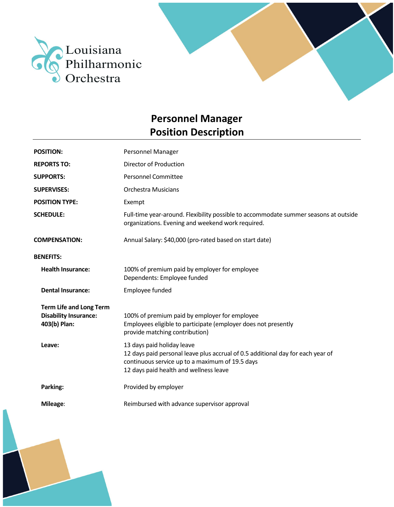



| <b>POSITION:</b>                                                               | Personnel Manager                                                                                                                                                                                          |
|--------------------------------------------------------------------------------|------------------------------------------------------------------------------------------------------------------------------------------------------------------------------------------------------------|
| <b>REPORTS TO:</b>                                                             | Director of Production                                                                                                                                                                                     |
| <b>SUPPORTS:</b>                                                               | <b>Personnel Committee</b>                                                                                                                                                                                 |
| <b>SUPERVISES:</b>                                                             | <b>Orchestra Musicians</b>                                                                                                                                                                                 |
| <b>POSITION TYPE:</b>                                                          | Exempt                                                                                                                                                                                                     |
| <b>SCHEDULE:</b>                                                               | Full-time year-around. Flexibility possible to accommodate summer seasons at outside<br>organizations. Evening and weekend work required.                                                                  |
| <b>COMPENSATION:</b>                                                           | Annual Salary: \$40,000 (pro-rated based on start date)                                                                                                                                                    |
| <b>BENEFITS:</b>                                                               |                                                                                                                                                                                                            |
| <b>Health Insurance:</b>                                                       | 100% of premium paid by employer for employee<br>Dependents: Employee funded                                                                                                                               |
| <b>Dental Insurance:</b>                                                       | Employee funded                                                                                                                                                                                            |
| <b>Term Life and Long Term</b><br><b>Disability Insurance:</b><br>403(b) Plan: | 100% of premium paid by employer for employee<br>Employees eligible to participate (employer does not presently<br>provide matching contribution)                                                          |
| Leave:                                                                         | 13 days paid holiday leave<br>12 days paid personal leave plus accrual of 0.5 additional day for each year of<br>continuous service up to a maximum of 19.5 days<br>12 days paid health and wellness leave |
| Parking:                                                                       | Provided by employer                                                                                                                                                                                       |
| Mileage:                                                                       | Reimbursed with advance supervisor approval                                                                                                                                                                |

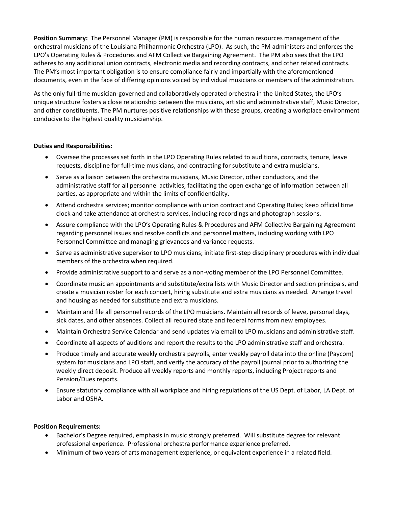**Position Summary:** The Personnel Manager (PM) is responsible for the human resources management of the orchestral musicians of the Louisiana Philharmonic Orchestra (LPO). As such, the PM administers and enforces the LPO's Operating Rules & Procedures and AFM Collective Bargaining Agreement. The PM also sees that the LPO adheres to any additional union contracts, electronic media and recording contracts, and other related contracts. The PM's most important obligation is to ensure compliance fairly and impartially with the aforementioned documents, even in the face of differing opinions voiced by individual musicians or members of the administration.

As the only full-time musician-governed and collaboratively operated orchestra in the United States, the LPO's unique structure fosters a close relationship between the musicians, artistic and administrative staff, Music Director, and other constituents. The PM nurtures positive relationships with these groups, creating a workplace environment conducive to the highest quality musicianship.

## **Duties and Responsibilities:**

- Oversee the processes set forth in the LPO Operating Rules related to auditions, contracts, tenure, leave requests, discipline for full-time musicians, and contracting for substitute and extra musicians.
- Serve as a liaison between the orchestra musicians, Music Director, other conductors, and the administrative staff for all personnel activities, facilitating the open exchange of information between all parties, as appropriate and within the limits of confidentiality.
- Attend orchestra services; monitor compliance with union contract and Operating Rules; keep official time clock and take attendance at orchestra services, including recordings and photograph sessions.
- Assure compliance with the LPO's Operating Rules & Procedures and AFM Collective Bargaining Agreement regarding personnel issues and resolve conflicts and personnel matters, including working with LPO Personnel Committee and managing grievances and variance requests.
- Serve as administrative supervisor to LPO musicians; initiate first-step disciplinary procedures with individual members of the orchestra when required.
- Provide administrative support to and serve as a non-voting member of the LPO Personnel Committee.
- Coordinate musician appointments and substitute/extra lists with Music Director and section principals, and create a musician roster for each concert, hiring substitute and extra musicians as needed. Arrange travel and housing as needed for substitute and extra musicians.
- Maintain and file all personnel records of the LPO musicians. Maintain all records of leave, personal days, sick dates, and other absences. Collect all required state and federal forms from new employees.
- Maintain Orchestra Service Calendar and send updates via email to LPO musicians and administrative staff.
- Coordinate all aspects of auditions and report the results to the LPO administrative staff and orchestra.
- Produce timely and accurate weekly orchestra payrolls, enter weekly payroll data into the online (Paycom) system for musicians and LPO staff, and verify the accuracy of the payroll journal prior to authorizing the weekly direct deposit. Produce all weekly reports and monthly reports, including Project reports and Pension/Dues reports.
- Ensure statutory compliance with all workplace and hiring regulations of the US Dept. of Labor, LA Dept. of Labor and OSHA.

## **Position Requirements:**

- Bachelor's Degree required, emphasis in music strongly preferred. Will substitute degree for relevant professional experience. Professional orchestra performance experience preferred.
- Minimum of two years of arts management experience, or equivalent experience in a related field.